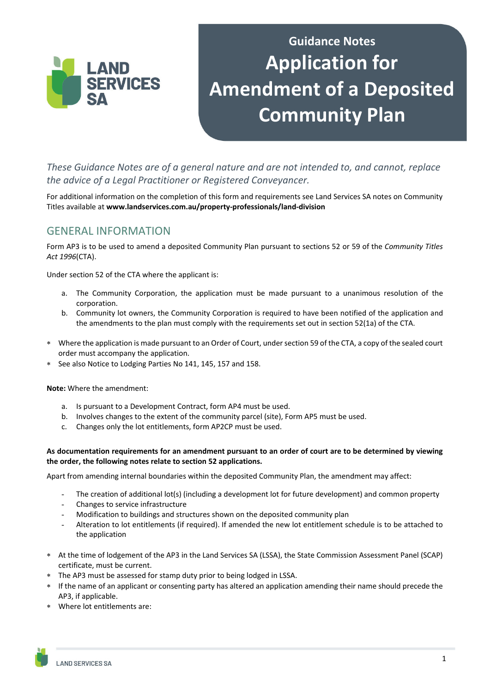

# **Guidance Notes Application for Amendment of a Deposited Community Plan**

*These Guidance Notes are of a general nature and are not intended to, and cannot, replace the advice of a Legal Practitioner or Registered Conveyancer.* 

For additional information on the completion of this form and requirements see Land Services SA notes on Community Titles available at **www.landservices.com.au/property‐professionals/land‐division**

# GENERAL INFORMATION

Form AP3 is to be used to amend a deposited Community Plan pursuant to sections 52 or 59 of the *Community Titles Act 1996*(CTA).

Under section 52 of the CTA where the applicant is:

- a. The Community Corporation, the application must be made pursuant to a unanimous resolution of the corporation.
- b. Community lot owners, the Community Corporation is required to have been notified of the application and the amendments to the plan must comply with the requirements set out in section 52(1a) of the CTA.
- Where the application is made pursuant to an Order of Court, under section 59 of the CTA, a copy of the sealed court order must accompany the application.
- See also Notice to Lodging Parties No 141, 145, 157 and 158.

**Note:** Where the amendment:

- a. Is pursuant to a Development Contract, form AP4 must be used.
- b. Involves changes to the extent of the community parcel (site), Form AP5 must be used.
- c. Changes only the lot entitlements, form AP2CP must be used.

#### As documentation requirements for an amendment pursuant to an order of court are to be determined by viewing **the order, the following notes relate to section 52 applications.**

Apart from amending internal boundaries within the deposited Community Plan, the amendment may affect:

- The creation of additional lot(s) (including a development lot for future development) and common property
- Changes to service infrastructure
- Modification to buildings and structures shown on the deposited community plan
- Alteration to lot entitlements (if required). If amended the new lot entitlement schedule is to be attached to the application
- At the time of lodgement of the AP3 in the Land Services SA (LSSA), the State Commission Assessment Panel (SCAP) certificate, must be current.
- The AP3 must be assessed for stamp duty prior to being lodged in LSSA.
- If the name of an applicant or consenting party has altered an application amending their name should precede the AP3, if applicable.
- Where lot entitlements are: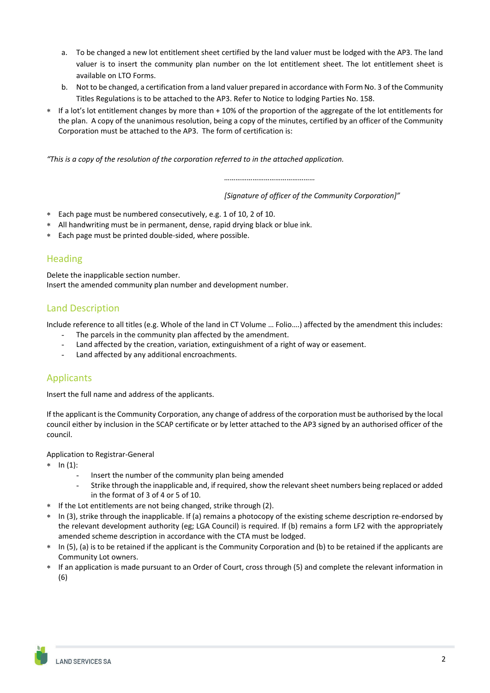- a. To be changed a new lot entitlement sheet certified by the land valuer must be lodged with the AP3. The land valuer is to insert the community plan number on the lot entitlement sheet. The lot entitlement sheet is available on LTO Forms.
- b. Not to be changed, a certification from a land valuer prepared in accordance with Form No. 3 of the Community Titles Regulations is to be attached to the AP3. Refer to Notice to lodging Parties No. 158.
- If a lot's lot entitlement changes by more than + 10% of the proportion of the aggregate of the lot entitlements for the plan. A copy of the unanimous resolution, being a copy of the minutes, certified by an officer of the Community Corporation must be attached to the AP3. The form of certification is:

*"This is a copy of the resolution of the corporation referred to in the attached application.*

*…………………………………………*

*[Signature of officer of the Community Corporation]"*

- Each page must be numbered consecutively, e.g. 1 of 10, 2 of 10.
- All handwriting must be in permanent, dense, rapid drying black or blue ink.
- Each page must be printed double-sided, where possible.

## Heading

Delete the inapplicable section number. Insert the amended community plan number and development number.

## Land Description

Include reference to all titles (e.g. Whole of the land in CT Volume … Folio….) affected by the amendment this includes:

- The parcels in the community plan affected by the amendment.
- Land affected by the creation, variation, extinguishment of a right of way or easement.
- Land affected by any additional encroachments.

## Applicants

Insert the full name and address of the applicants.

If the applicant is the Community Corporation, any change of address of the corporation must be authorised by the local council either by inclusion in the SCAP certificate or by letter attached to the AP3 signed by an authorised officer of the council.

#### Application to Registrar-General

- $* \ln (1)$ :
	- Insert the number of the community plan being amended
	- Strike through the inapplicable and, if required, show the relevant sheet numbers being replaced or added in the format of 3 of 4 or 5 of 10.
- If the Lot entitlements are not being changed, strike through (2).
- \* In (3), strike through the inapplicable. If (a) remains a photocopy of the existing scheme description re-endorsed by the relevant development authority (eg; LGA Council) is required. If (b) remains a form LF2 with the appropriately amended scheme description in accordance with the CTA must be lodged.
- In (5), (a) is to be retained if the applicant is the Community Corporation and (b) to be retained if the applicants are Community Lot owners.
- If an application is made pursuant to an Order of Court, cross through (5) and complete the relevant information in (6)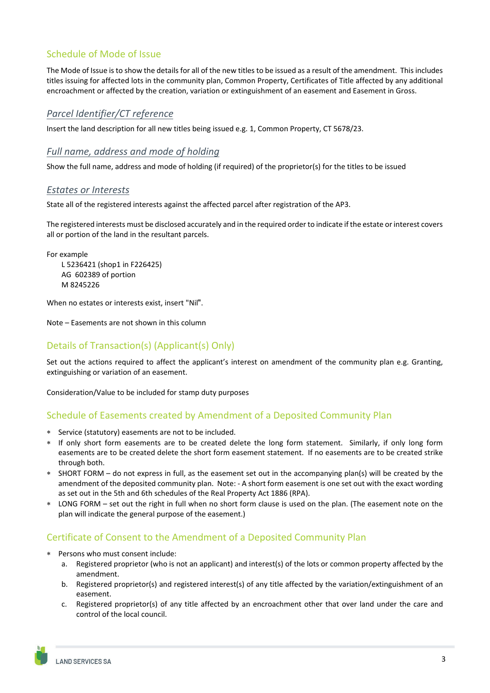# Schedule of Mode of Issue

The Mode of Issue is to show the details for all of the new titles to be issued as a result of the amendment. This includes titles issuing for affected lots in the community plan, Common Property, Certificates of Title affected by any additional encroachment or affected by the creation, variation or extinguishment of an easement and Easement in Gross.

#### *Parcel Identifier/CT reference*

Insert the land description for all new titles being issued e.g. 1, Common Property, CT 5678/23.

#### *Full name, address and mode of holding*

Show the full name, address and mode of holding (if required) of the proprietor(s) for the titles to be issued

#### *Estates or Interests*

State all of the registered interests against the affected parcel after registration of the AP3.

The registered interests must be disclosed accurately and in the required order to indicate if the estate or interest covers all or portion of the land in the resultant parcels.

For example L 5236421 (shop1 in F226425) AG 602389 of portion M 8245226

When no estates or interests exist, insert "Nil".

Note – Easements are not shown in this column

## Details of Transaction(s) (Applicant(s) Only)

Set out the actions required to affect the applicant's interest on amendment of the community plan e.g. Granting, extinguishing or variation of an easement.

Consideration/Value to be included for stamp duty purposes

## Schedule of Easements created by Amendment of a Deposited Community Plan

- Service (statutory) easements are not to be included.
- If only short form easements are to be created delete the long form statement. Similarly, if only long form easements are to be created delete the short form easement statement. If no easements are to be created strike through both.
- SHORT FORM do not express in full, as the easement set out in the accompanying plan(s) will be created by the amendment of the deposited community plan. Note: - A short form easement is one set out with the exact wording as set out in the 5th and 6th schedules of the Real Property Act 1886 (RPA).
- LONG FORM set out the right in full when no short form clause is used on the plan. (The easement note on the plan will indicate the general purpose of the easement.)

## Certificate of Consent to the Amendment of a Deposited Community Plan

- Persons who must consent include:
	- a. Registered proprietor (who is not an applicant) and interest(s) of the lots or common property affected by the amendment.
	- b. Registered proprietor(s) and registered interest(s) of any title affected by the variation/extinguishment of an easement.
	- c. Registered proprietor(s) of any title affected by an encroachment other that over land under the care and control of the local council.

í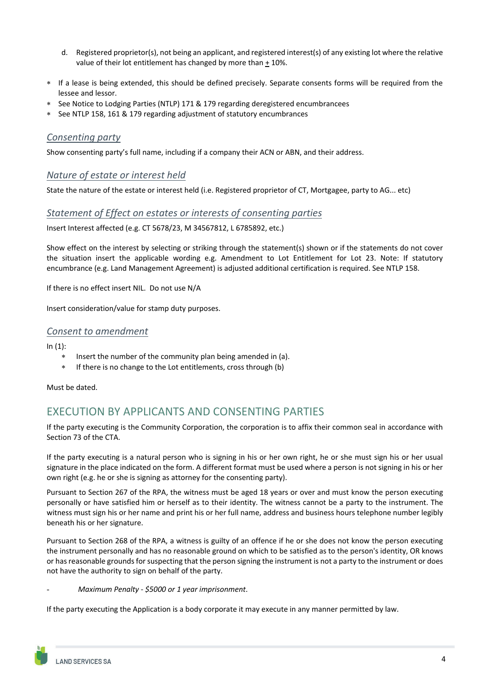- d. Registered proprietor(s), not being an applicant, and registered interest(s) of any existing lot where the relative value of their lot entitlement has changed by more than + 10%.
- If a lease is being extended, this should be defined precisely. Separate consents forms will be required from the lessee and lessor.
- See Notice to Lodging Parties (NTLP) 171 & 179 regarding deregistered encumbrancees
- See NTLP 158, 161 & 179 regarding adjustment of statutory encumbrances

#### *Consenting party*

Show consenting party's full name, including if a company their ACN or ABN, and their address.

#### *Nature of estate or interest held*

State the nature of the estate or interest held (i.e. Registered proprietor of CT, Mortgagee, party to AG... etc)

#### *Statement of Effect on estates or interests of consenting parties*

Insert Interest affected (e.g. CT 5678/23, M 34567812, L 6785892, etc.)

Show effect on the interest by selecting or striking through the statement(s) shown or if the statements do not cover the situation insert the applicable wording e.g. Amendment to Lot Entitlement for Lot 23. Note: If statutory encumbrance (e.g. Land Management Agreement) is adjusted additional certification is required. See NTLP 158.

If there is no effect insert NIL. Do not use N/A

Insert consideration/value for stamp duty purposes.

#### *Consent to amendment*

 $In (1):$ 

- Insert the number of the community plan being amended in (a).
- If there is no change to the Lot entitlements, cross through (b)

Must be dated.

# EXECUTION BY APPLICANTS AND CONSENTING PARTIES

If the party executing is the Community Corporation, the corporation is to affix their common seal in accordance with Section 73 of the CTA.

If the party executing is a natural person who is signing in his or her own right, he or she must sign his or her usual signature in the place indicated on the form. A different format must be used where a person is not signing in his or her own right (e.g. he or she is signing as attorney for the consenting party).

Pursuant to Section 267 of the RPA, the witness must be aged 18 years or over and must know the person executing personally or have satisfied him or herself as to their identity. The witness cannot be a party to the instrument. The witness must sign his or her name and print his or her full name, address and business hours telephone number legibly beneath his or her signature.

Pursuant to Section 268 of the RPA, a witness is guilty of an offence if he or she does not know the person executing the instrument personally and has no reasonable ground on which to be satisfied as to the person's identity, OR knows or has reasonable grounds for suspecting that the person signing the instrument is not a party to the instrument or does not have the authority to sign on behalf of the party.

- *Maximum Penalty ‐ \$5000 or 1 year imprisonment*.

If the party executing the Application is a body corporate it may execute in any manner permitted by law.